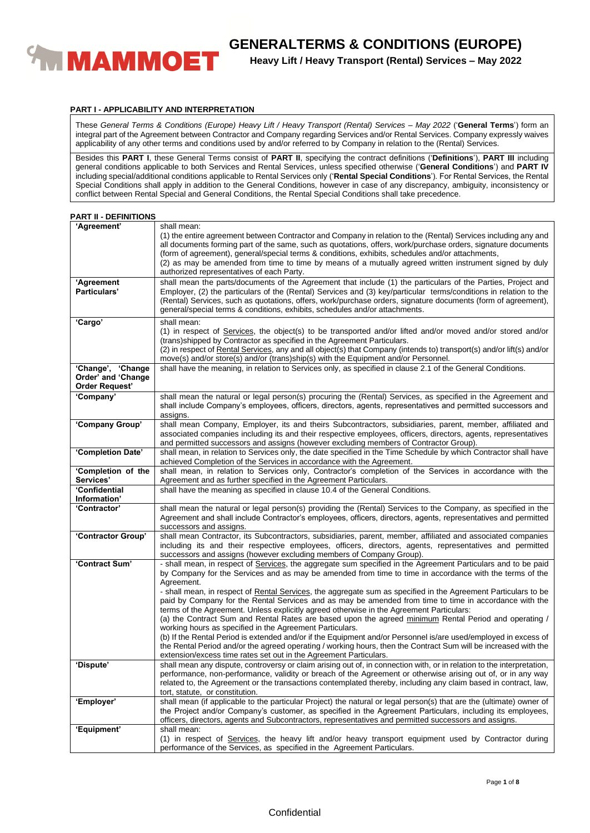

## **PART I - APPLICABILITY AND INTERPRETATION**

These *General Terms & Conditions (Europe) Heavy Lift / Heavy Transport (Rental) Services – May 2022* ('**General Terms**') form an integral part of the Agreement between Contractor and Company regarding Services and/or Rental Services. Company expressly waives applicability of any other terms and conditions used by and/or referred to by Company in relation to the (Rental) Services.

Besides this **PART I**, these General Terms consist of **PART II**, specifying the contract definitions ('**Definitions**'), **PART III** including general conditions applicable to both Services and Rental Services, unless specified otherwise ('**General Conditions**') and **PART IV** including special/additional conditions applicable to Rental Services only ('**Rental Special Conditions**'). For Rental Services, the Rental Special Conditions shall apply in addition to the General Conditions, however in case of any discrepancy, ambiguity, inconsistency or conflict between Rental Special and General Conditions, the Rental Special Conditions shall take precedence.

| <b>PART II - DEFINITIONS</b> |  |  |  |  |
|------------------------------|--|--|--|--|
|------------------------------|--|--|--|--|

| 'Agreement'                                                      | shall mean:<br>(1) the entire agreement between Contractor and Company in relation to the (Rental) Services including any and<br>all documents forming part of the same, such as quotations, offers, work/purchase orders, signature documents<br>(form of agreement), general/special terms & conditions, exhibits, schedules and/or attachments,<br>(2) as may be amended from time to time by means of a mutually agreed written instrument signed by duly                                                                                                                                                                                                                                                                                                                                                                                                                                                                                                                                                                                  |
|------------------------------------------------------------------|------------------------------------------------------------------------------------------------------------------------------------------------------------------------------------------------------------------------------------------------------------------------------------------------------------------------------------------------------------------------------------------------------------------------------------------------------------------------------------------------------------------------------------------------------------------------------------------------------------------------------------------------------------------------------------------------------------------------------------------------------------------------------------------------------------------------------------------------------------------------------------------------------------------------------------------------------------------------------------------------------------------------------------------------|
| 'Agreement<br>Particulars'                                       | authorized representatives of each Party.<br>shall mean the parts/documents of the Agreement that include (1) the particulars of the Parties, Project and<br>Employer, (2) the particulars of the (Rental) Services and (3) key/particular terms/conditions in relation to the<br>(Rental) Services, such as quotations, offers, work/purchase orders, signature documents (form of agreement),<br>general/special terms & conditions, exhibits, schedules and/or attachments.                                                                                                                                                                                                                                                                                                                                                                                                                                                                                                                                                                 |
| 'Cargo'                                                          | shall mean:<br>(1) in respect of Services, the object(s) to be transported and/or lifted and/or moved and/or stored and/or<br>(trans)shipped by Contractor as specified in the Agreement Particulars.<br>(2) in respect of Rental Services, any and all object(s) that Company (intends to) transport(s) and/or lift(s) and/or<br>move(s) and/or store(s) and/or (trans)ship(s) with the Equipment and/or Personnel.                                                                                                                                                                                                                                                                                                                                                                                                                                                                                                                                                                                                                           |
| 'Change', 'Change<br>Order' and 'Change<br><b>Order Request'</b> | shall have the meaning, in relation to Services only, as specified in clause 2.1 of the General Conditions.                                                                                                                                                                                                                                                                                                                                                                                                                                                                                                                                                                                                                                                                                                                                                                                                                                                                                                                                    |
| 'Company'                                                        | shall mean the natural or legal person(s) procuring the (Rental) Services, as specified in the Agreement and<br>shall include Company's employees, officers, directors, agents, representatives and permitted successors and<br>assigns.                                                                                                                                                                                                                                                                                                                                                                                                                                                                                                                                                                                                                                                                                                                                                                                                       |
| 'Company Group'                                                  | shall mean Company, Employer, its and theirs Subcontractors, subsidiaries, parent, member, affiliated and<br>associated companies including its and their respective employees, officers, directors, agents, representatives<br>and permitted successors and assigns (however excluding members of Contractor Group).                                                                                                                                                                                                                                                                                                                                                                                                                                                                                                                                                                                                                                                                                                                          |
| 'Completion Date'                                                | shall mean, in relation to Services only, the date specified in the Time Schedule by which Contractor shall have<br>achieved Completion of the Services in accordance with the Agreement.                                                                                                                                                                                                                                                                                                                                                                                                                                                                                                                                                                                                                                                                                                                                                                                                                                                      |
| 'Completion of the<br>Services'                                  | shall mean, in relation to Services only, Contractor's completion of the Services in accordance with the<br>Agreement and as further specified in the Agreement Particulars.                                                                                                                                                                                                                                                                                                                                                                                                                                                                                                                                                                                                                                                                                                                                                                                                                                                                   |
| 'Confidential<br>Information'                                    | shall have the meaning as specified in clause 10.4 of the General Conditions.                                                                                                                                                                                                                                                                                                                                                                                                                                                                                                                                                                                                                                                                                                                                                                                                                                                                                                                                                                  |
| 'Contractor'                                                     | shall mean the natural or legal person(s) providing the (Rental) Services to the Company, as specified in the<br>Agreement and shall include Contractor's employees, officers, directors, agents, representatives and permitted<br>successors and assigns.                                                                                                                                                                                                                                                                                                                                                                                                                                                                                                                                                                                                                                                                                                                                                                                     |
| 'Contractor Group'                                               | shall mean Contractor, its Subcontractors, subsidiaries, parent, member, affiliated and associated companies<br>including its and their respective employees, officers, directors, agents, representatives and permitted<br>successors and assigns (however excluding members of Company Group).                                                                                                                                                                                                                                                                                                                                                                                                                                                                                                                                                                                                                                                                                                                                               |
| 'Contract Sum'                                                   | - shall mean, in respect of Services, the aggregate sum specified in the Agreement Particulars and to be paid<br>by Company for the Services and as may be amended from time to time in accordance with the terms of the<br>Agreement.<br>- shall mean, in respect of Rental Services, the aggregate sum as specified in the Agreement Particulars to be<br>paid by Company for the Rental Services and as may be amended from time to time in accordance with the<br>terms of the Agreement. Unless explicitly agreed otherwise in the Agreement Particulars:<br>(a) the Contract Sum and Rental Rates are based upon the agreed minimum Rental Period and operating /<br>working hours as specified in the Agreement Particulars.<br>(b) If the Rental Period is extended and/or if the Equipment and/or Personnel is/are used/employed in excess of<br>the Rental Period and/or the agreed operating / working hours, then the Contract Sum will be increased with the<br>extension/excess time rates set out in the Agreement Particulars. |
| 'Dispute'                                                        | shall mean any dispute, controversy or claim arising out of, in connection with, or in relation to the interpretation,<br>performance, non-performance, validity or breach of the Agreement or otherwise arising out of, or in any way<br>related to, the Agreement or the transactions contemplated thereby, including any claim based in contract, law,<br>tort, statute, or constitution.                                                                                                                                                                                                                                                                                                                                                                                                                                                                                                                                                                                                                                                   |
| 'Employer'                                                       | shall mean (if applicable to the particular Project) the natural or legal person(s) that are the (ultimate) owner of<br>the Project and/or Company's customer, as specified in the Agreement Particulars, including its employees,<br>officers, directors, agents and Subcontractors, representatives and permitted successors and assigns.                                                                                                                                                                                                                                                                                                                                                                                                                                                                                                                                                                                                                                                                                                    |
| 'Equipment'                                                      | shall mean:<br>(1) in respect of Services, the heavy lift and/or heavy transport equipment used by Contractor during<br>performance of the Services, as specified in the Agreement Particulars.                                                                                                                                                                                                                                                                                                                                                                                                                                                                                                                                                                                                                                                                                                                                                                                                                                                |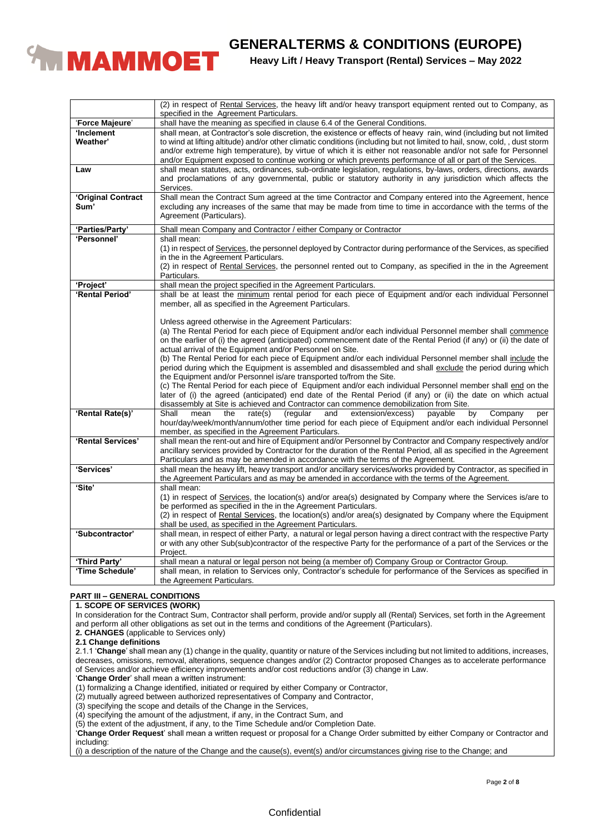

|                                  | (2) in respect of Rental Services, the heavy lift and/or heavy transport equipment rented out to Company, as                                                                                                                                                                                                                                                                                                                                                                       |
|----------------------------------|------------------------------------------------------------------------------------------------------------------------------------------------------------------------------------------------------------------------------------------------------------------------------------------------------------------------------------------------------------------------------------------------------------------------------------------------------------------------------------|
|                                  | specified in the Agreement Particulars.                                                                                                                                                                                                                                                                                                                                                                                                                                            |
| 'Force Majeure'                  | shall have the meaning as specified in clause 6.4 of the General Conditions.                                                                                                                                                                                                                                                                                                                                                                                                       |
| 'Inclement<br>Weather'           | shall mean, at Contractor's sole discretion, the existence or effects of heavy rain, wind (including but not limited<br>to wind at lifting altitude) and/or other climatic conditions (including but not limited to hail, snow, cold, , dust storm<br>and/or extreme high temperature), by virtue of which it is either not reasonable and/or not safe for Personnel<br>and/or Equipment exposed to continue working or which prevents performance of all or part of the Services. |
| Law                              | shall mean statutes, acts, ordinances, sub-ordinate legislation, regulations, by-laws, orders, directions, awards<br>and proclamations of any governmental, public or statutory authority in any jurisdiction which affects the<br>Services.                                                                                                                                                                                                                                       |
| 'Original Contract<br>Sum'       | Shall mean the Contract Sum agreed at the time Contractor and Company entered into the Agreement, hence<br>excluding any increases of the same that may be made from time to time in accordance with the terms of the<br>Agreement (Particulars).                                                                                                                                                                                                                                  |
| 'Parties/Party'                  | Shall mean Company and Contractor / either Company or Contractor                                                                                                                                                                                                                                                                                                                                                                                                                   |
| 'Personnel'                      | shall mean:                                                                                                                                                                                                                                                                                                                                                                                                                                                                        |
|                                  | (1) in respect of Services, the personnel deployed by Contractor during performance of the Services, as specified<br>in the in the Agreement Particulars.                                                                                                                                                                                                                                                                                                                          |
|                                  | (2) in respect of Rental Services, the personnel rented out to Company, as specified in the in the Agreement<br>Particulars.                                                                                                                                                                                                                                                                                                                                                       |
| 'Project'                        | shall mean the project specified in the Agreement Particulars.                                                                                                                                                                                                                                                                                                                                                                                                                     |
| 'Rental Period'                  | shall be at least the minimum rental period for each piece of Equipment and/or each individual Personnel<br>member, all as specified in the Agreement Particulars.                                                                                                                                                                                                                                                                                                                 |
|                                  | Unless agreed otherwise in the Agreement Particulars:<br>(a) The Rental Period for each piece of Equipment and/or each individual Personnel member shall commence<br>on the earlier of (i) the agreed (anticipated) commencement date of the Rental Period (if any) or (ii) the date of<br>actual arrival of the Equipment and/or Personnel on Site.                                                                                                                               |
|                                  | (b) The Rental Period for each piece of Equipment and/or each individual Personnel member shall include the<br>period during which the Equipment is assembled and disassembled and shall exclude the period during which<br>the Equipment and/or Personnel is/are transported to/from the Site.                                                                                                                                                                                    |
|                                  | (c) The Rental Period for each piece of Equipment and/or each individual Personnel member shall end on the<br>later of (i) the agreed (anticipated) end date of the Rental Period (if any) or (ii) the date on which actual<br>disassembly at Site is achieved and Contractor can commence demobilization from Site.                                                                                                                                                               |
| 'Rental Rate(s)'                 | Shall<br>mean<br>the<br>rate(s)<br>(regular<br>extension/excess)<br>payable<br>by<br>Company<br>and<br>per<br>hour/day/week/month/annum/other time period for each piece of Equipment and/or each individual Personnel<br>member, as specified in the Agreement Particulars.                                                                                                                                                                                                       |
| 'Rental Services'                | shall mean the rent-out and hire of Equipment and/or Personnel by Contractor and Company respectively and/or<br>ancillary services provided by Contractor for the duration of the Rental Period, all as specified in the Agreement<br>Particulars and as may be amended in accordance with the terms of the Agreement.                                                                                                                                                             |
| 'Services'                       | shall mean the heavy lift, heavy transport and/or ancillary services/works provided by Contractor, as specified in<br>the Agreement Particulars and as may be amended in accordance with the terms of the Agreement.                                                                                                                                                                                                                                                               |
| 'Site'                           | shall mean:                                                                                                                                                                                                                                                                                                                                                                                                                                                                        |
|                                  | (1) in respect of Services, the location(s) and/or area(s) designated by Company where the Services is/are to                                                                                                                                                                                                                                                                                                                                                                      |
|                                  | be performed as specified in the in the Agreement Particulars.<br>(2) in respect of Rental Services, the location(s) and/or area(s) designated by Company where the Equipment                                                                                                                                                                                                                                                                                                      |
|                                  | shall be used, as specified in the Agreement Particulars.                                                                                                                                                                                                                                                                                                                                                                                                                          |
| 'Subcontractor'                  | shall mean, in respect of either Party, a natural or legal person having a direct contract with the respective Party                                                                                                                                                                                                                                                                                                                                                               |
|                                  | or with any other Sub(sub)contractor of the respective Party for the performance of a part of the Services or the                                                                                                                                                                                                                                                                                                                                                                  |
|                                  | Project.                                                                                                                                                                                                                                                                                                                                                                                                                                                                           |
| 'Third Party'<br>'Time Schedule' | shall mean a natural or legal person not being (a member of) Company Group or Contractor Group.                                                                                                                                                                                                                                                                                                                                                                                    |
|                                  | shall mean, in relation to Services only, Contractor's schedule for performance of the Services as specified in<br>the Agreement Particulars.                                                                                                                                                                                                                                                                                                                                      |

# **PART III – GENERAL CONDITIONS**

# **1. SCOPE OF SERVICES (WORK)**

In consideration for the Contract Sum, Contractor shall perform, provide and/or supply all (Rental) Services, set forth in the Agreement and perform all other obligations as set out in the terms and conditions of the Agreement (Particulars).

**2. CHANGES** (applicable to Services only)

**2.1 Change definitions**

2.1.1 '**Change**' shall mean any (1) change in the quality, quantity or nature of the Services including but not limited to additions, increases, decreases, omissions, removal, alterations, sequence changes and/or (2) Contractor proposed Changes as to accelerate performance of Services and/or achieve efficiency improvements and/or cost reductions and/or (3) change in Law.

'**Change Order**' shall mean a written instrument:

(1) formalizing a Change identified, initiated or required by either Company or Contractor,

(2) mutually agreed between authorized representatives of Company and Contractor,

(3) specifying the scope and details of the Change in the Services,

(4) specifying the amount of the adjustment, if any, in the Contract Sum, and

(5) the extent of the adjustment, if any, to the Time Schedule and/or Completion Date.

'**Change Order Request**' shall mean a written request or proposal for a Change Order submitted by either Company or Contractor and including:

(i) a description of the nature of the Change and the cause(s), event(s) and/or circumstances giving rise to the Change; and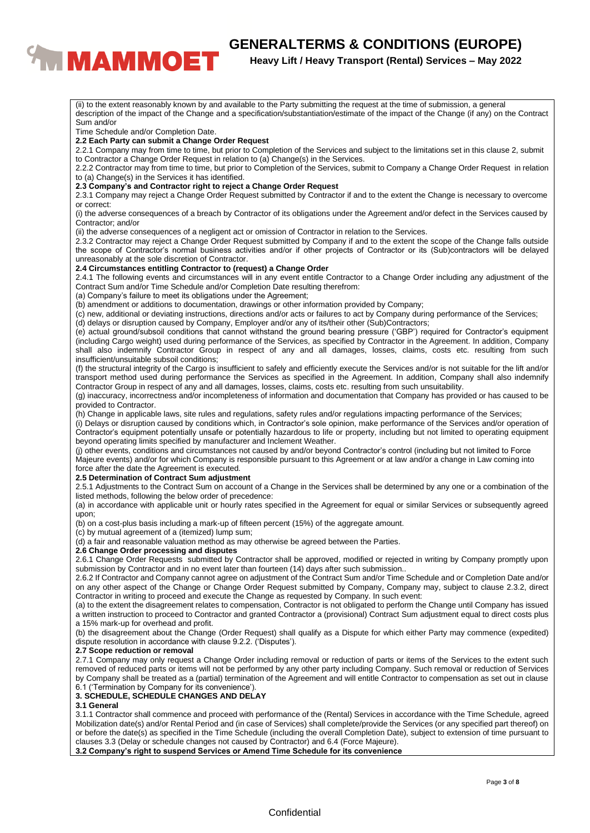# **CENERALTERMS & CONDITIONS (EUROPE)**<br>**Beavy Lift / Heavy Transport (Rental) Services – May 2022**

# **Heavy Lift / Heavy Transport (Rental) Services – May 2022**

description of the impact of the Change and a specification/substantiation/estimate of the impact of the Change (if any) on the Contract Sum and/or Time Schedule and/or Completion Date. **2.2 Each Party can submit a Change Order Request** 2.2.1 Company may from time to time, but prior to Completion of the Services and subject to the limitations set in this clause 2, submit to Contractor a Change Order Request in relation to (a) Change(s) in the Services. 2.2.2 Contractor may from time to time, but prior to Completion of the Services, submit to Company a Change Order Request in relation to (a) Change(s) in the Services it has identified. **2.3 Company's and Contractor right to reject a Change Order Request** 2.3.1 Company may reject a Change Order Request submitted by Contractor if and to the extent the Change is necessary to overcome or correct: (i) the adverse consequences of a breach by Contractor of its obligations under the Agreement and/or defect in the Services caused by Contractor; and/or (ii) the adverse consequences of a negligent act or omission of Contractor in relation to the Services. 2.3.2 Contractor may reject a Change Order Request submitted by Company if and to the extent the scope of the Change falls outside the scope of Contractor's normal business activities and/or if other projects of Contractor or its (Sub)contractors will be delayed unreasonably at the sole discretion of Contractor. **2.4 Circumstances entitling Contractor to (request) a Change Order** 2.4.1 The following events and circumstances will in any event entitle Contractor to a Change Order including any adjustment of the Contract Sum and/or Time Schedule and/or Completion Date resulting therefrom: (a) Company's failure to meet its obligations under the Agreement; (b) amendment or additions to documentation, drawings or other information provided by Company; (c) new, additional or deviating instructions, directions and/or acts or failures to act by Company during performance of the Services; (d) delays or disruption caused by Company, Employer and/or any of its/their other (Sub)Contractors; (e) actual ground/subsoil conditions that cannot withstand the ground bearing pressure ('GBP') required for Contractor's equipment (including Cargo weight) used during performance of the Services, as specified by Contractor in the Agreement. In addition, Company shall also indemnify Contractor Group in respect of any and all damages, losses, claims, costs etc. resulting from such insufficient/unsuitable subsoil conditions; (f) the structural integrity of the Cargo is insufficient to safely and efficiently execute the Services and/or is not suitable for the lift and/or transport method used during performance the Services as specified in the Agreement. In addition, Company shall also indemnify Contractor Group in respect of any and all damages, losses, claims, costs etc. resulting from such unsuitability. (g) inaccuracy, incorrectness and/or incompleteness of information and documentation that Company has provided or has caused to be provided to Contractor. (h) Change in applicable laws, site rules and regulations, safety rules and/or regulations impacting performance of the Services; (i) Delays or disruption caused by conditions which, in Contractor's sole opinion, make performance of the Services and/or operation of Contractor's equipment potentially unsafe or potentially hazardous to life or property, including but not limited to operating equipment beyond operating limits specified by manufacturer and Inclement Weather. (j) other events, conditions and circumstances not caused by and/or beyond Contractor's control (including but not limited to Force Majeure events) and/or for which Company is responsible pursuant to this Agreement or at law and/or a change in Law coming into force after the date the Agreement is executed. **2.5 Determination of Contract Sum adjustment** 2.5.1 Adjustments to the Contract Sum on account of a Change in the Services shall be determined by any one or a combination of the listed methods, following the below order of precedence: (a) in accordance with applicable unit or hourly rates specified in the Agreement for equal or similar Services or subsequently agreed upon; (b) on a cost-plus basis including a mark-up of fifteen percent (15%) of the aggregate amount. (c) by mutual agreement of a (itemized) lump sum; (d) a fair and reasonable valuation method as may otherwise be agreed between the Parties. **2.6 Change Order processing and disputes** 2.6.1 Change Order Requests submitted by Contractor shall be approved, modified or rejected in writing by Company promptly upon submission by Contractor and in no event later than fourteen (14) days after such submission.. 2.6.2 If Contractor and Company cannot agree on adjustment of the Contract Sum and/or Time Schedule and or Completion Date and/or on any other aspect of the Change or Change Order Request submitted by Company, Company may, subject to clause 2.3.2, direct Contractor in writing to proceed and execute the Change as requested by Company. In such event: (a) to the extent the disagreement relates to compensation, Contractor is not obligated to perform the Change until Company has issued a written instruction to proceed to Contractor and granted Contractor a (provisional) Contract Sum adjustment equal to direct costs plus a 15% mark-up for overhead and profit. (b) the disagreement about the Change (Order Request) shall qualify as a Dispute for which either Party may commence (expedited) dispute resolution in accordance with clause 9.2.2. ('Disputes'). **2.7 Scope reduction or removal** 2.7.1 Company may only request a Change Order including removal or reduction of parts or items of the Services to the extent such removed of reduced parts or items will not be performed by any other party including Company. Such removal or reduction of Services

(ii) to the extent reasonably known by and available to the Party submitting the request at the time of submission, a general

6.1 ('Termination by Company for its convenience'). **3. SCHEDULE, SCHEDULE CHANGES AND DELAY**

#### **3.1 General**

3.1.1 Contractor shall commence and proceed with performance of the (Rental) Services in accordance with the Time Schedule, agreed Mobilization date(s) and/or Rental Period and (in case of Services) shall complete/provide the Services (or any specified part thereof) on or before the date(s) as specified in the Time Schedule (including the overall Completion Date), subject to extension of time pursuant to clauses 3.3 (Delay or schedule changes not caused by Contractor) and 6.4 (Force Majeure).

by Company shall be treated as a (partial) termination of the Agreement and will entitle Contractor to compensation as set out in clause

**3.2 Company's right to suspend Services or Amend Time Schedule for its convenience**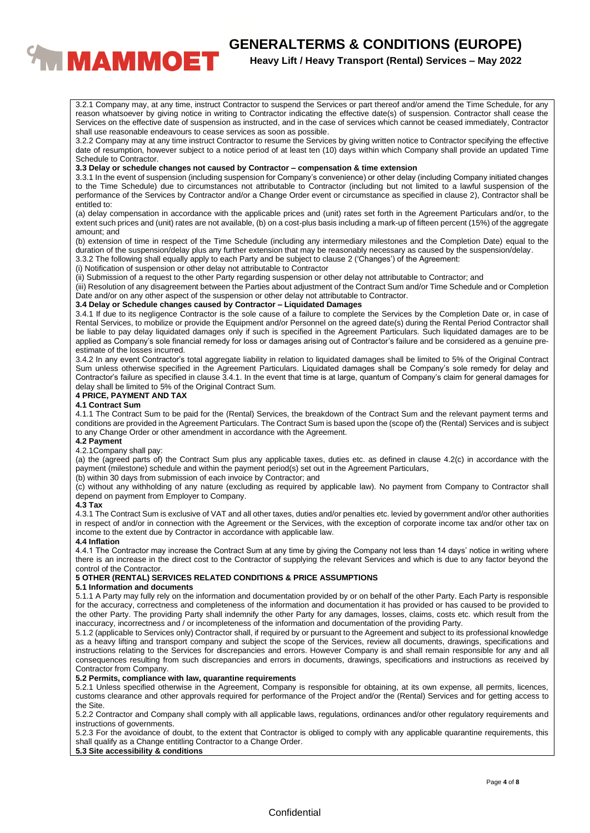

3.2.1 Company may, at any time, instruct Contractor to suspend the Services or part thereof and/or amend the Time Schedule, for any reason whatsoever by giving notice in writing to Contractor indicating the effective date(s) of suspension. Contractor shall cease the Services on the effective date of suspension as instructed, and in the case of services which cannot be ceased immediately, Contractor shall use reasonable endeavours to cease services as soon as possible.

3.2.2 Company may at any time instruct Contractor to resume the Services by giving written notice to Contractor specifying the effective date of resumption, however subject to a notice period of at least ten (10) days within which Company shall provide an updated Time Schedule to Contractor.

#### **3.3 Delay or schedule changes not caused by Contractor – compensation & time extension**

3.3.1 In the event of suspension (including suspension for Company's convenience) or other delay (including Company initiated changes to the Time Schedule) due to circumstances not attributable to Contractor (including but not limited to a lawful suspension of the performance of the Services by Contractor and/or a Change Order event or circumstance as specified in clause 2), Contractor shall be entitled to:

(a) delay compensation in accordance with the applicable prices and (unit) rates set forth in the Agreement Particulars and/or, to the extent such prices and (unit) rates are not available, (b) on a cost-plus basis including a mark-up of fifteen percent (15%) of the aggregate amount; and

(b) extension of time in respect of the Time Schedule (including any intermediary milestones and the Completion Date) equal to the duration of the suspension/delay plus any further extension that may be reasonably necessary as caused by the suspension/delay.

3.3.2 The following shall equally apply to each Party and be subject to clause 2 ('Changes') of the Agreement:

(i) Notification of suspension or other delay not attributable to Contractor

(ii) Submission of a request to the other Party regarding suspension or other delay not attributable to Contractor; and

(iii) Resolution of any disagreement between the Parties about adjustment of the Contract Sum and/or Time Schedule and or Completion Date and/or on any other aspect of the suspension or other delay not attributable to Contractor.

#### **3.4 Delay or Schedule changes caused by Contractor – Liquidated Damages**

3.4.1 If due to its negligence Contractor is the sole cause of a failure to complete the Services by the Completion Date or, in case of Rental Services, to mobilize or provide the Equipment and/or Personnel on the agreed date(s) during the Rental Period Contractor shall be liable to pay delay liquidated damages only if such is specified in the Agreement Particulars. Such liquidated damages are to be applied as Company's sole financial remedy for loss or damages arising out of Contractor's failure and be considered as a genuine preestimate of the losses incurred.

3.4.2 In any event Contractor's total aggregate liability in relation to liquidated damages shall be limited to 5% of the Original Contract Sum unless otherwise specified in the Agreement Particulars. Liquidated damages shall be Company's sole remedy for delay and Contractor's failure as specified in clause 3.4.1. In the event that time is at large, quantum of Company's claim for general damages for delay shall be limited to 5% of the Original Contract Sum.

#### **4 PRICE, PAYMENT AND TAX**

#### **4.1 Contract Sum**

4.1.1 The Contract Sum to be paid for the (Rental) Services, the breakdown of the Contract Sum and the relevant payment terms and conditions are provided in the Agreement Particulars. The Contract Sum is based upon the (scope of) the (Rental) Services and is subject to any Change Order or other amendment in accordance with the Agreement.

#### **4.2 Payment**

#### 4.2.1Company shall pay:

(a) the (agreed parts of) the Contract Sum plus any applicable taxes, duties etc. as defined in clause 4.2(c) in accordance with the payment (milestone) schedule and within the payment period(s) set out in the Agreement Particulars,

(b) within 30 days from submission of each invoice by Contractor; and

(c) without any withholding of any nature (excluding as required by applicable law). No payment from Company to Contractor shall depend on payment from Employer to Company.

#### **4.3 Tax**

4.3.1 The Contract Sum is exclusive of VAT and all other taxes, duties and/or penalties etc. levied by government and/or other authorities in respect of and/or in connection with the Agreement or the Services, with the exception of corporate income tax and/or other tax on income to the extent due by Contractor in accordance with applicable law.

### **4.4 Inflation**

4.4.1 The Contractor may increase the Contract Sum at any time by giving the Company not less than 14 days' notice in writing where there is an increase in the direct cost to the Contractor of supplying the relevant Services and which is due to any factor beyond the control of the Contractor.

## **5 OTHER (RENTAL) SERVICES RELATED CONDITIONS & PRICE ASSUMPTIONS**

#### **5.1 Information and documents**

5.1.1 A Party may fully rely on the information and documentation provided by or on behalf of the other Party. Each Party is responsible for the accuracy, correctness and completeness of the information and documentation it has provided or has caused to be provided to the other Party. The providing Party shall indemnify the other Party for any damages, losses, claims, costs etc. which result from the inaccuracy, incorrectness and / or incompleteness of the information and documentation of the providing Party.

5.1.2 (applicable to Services only) Contractor shall, if required by or pursuant to the Agreement and subject to its professional knowledge as a heavy lifting and transport company and subject the scope of the Services, review all documents, drawings, specifications and instructions relating to the Services for discrepancies and errors. However Company is and shall remain responsible for any and all consequences resulting from such discrepancies and errors in documents, drawings, specifications and instructions as received by Contractor from Company.

## **5.2 Permits, compliance with law, quarantine requirements**

5.2.1 Unless specified otherwise in the Agreement, Company is responsible for obtaining, at its own expense, all permits, licences, customs clearance and other approvals required for performance of the Project and/or the (Rental) Services and for getting access to the Site.

5.2.2 Contractor and Company shall comply with all applicable laws, regulations, ordinances and/or other regulatory requirements and instructions of governments.

5.2.3 For the avoidance of doubt, to the extent that Contractor is obliged to comply with any applicable quarantine requirements, this shall qualify as a Change entitling Contractor to a Change Order.

# **5.3 Site accessibility & conditions**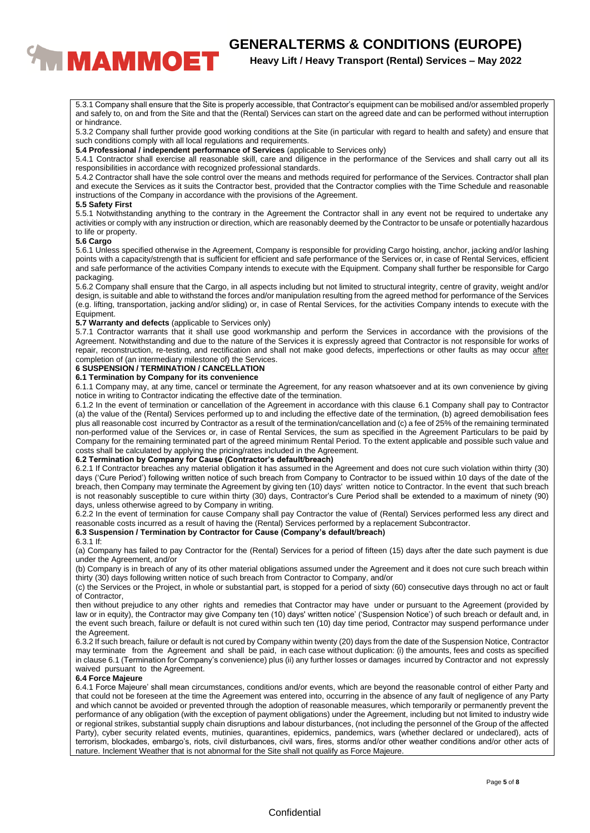# **CENERALTERMS & CONDITIONS (EUROPE)**<br>**Reavy Lift / Heavy Transport (Rental) Services – May 2022**

# **Heavy Lift / Heavy Transport (Rental) Services – May 2022**

5.3.1 Company shall ensure that the Site is properly accessible, that Contractor's equipment can be mobilised and/or assembled properly and safely to, on and from the Site and that the (Rental) Services can start on the agreed date and can be performed without interruption or hindrance.

5.3.2 Company shall further provide good working conditions at the Site (in particular with regard to health and safety) and ensure that such conditions comply with all local regulations and requirements.

**5.4 Professional / independent performance of Services** (applicable to Services only)

5.4.1 Contractor shall exercise all reasonable skill, care and diligence in the performance of the Services and shall carry out all its responsibilities in accordance with recognized professional standards.

5.4.2 Contractor shall have the sole control over the means and methods required for performance of the Services. Contractor shall plan and execute the Services as it suits the Contractor best, provided that the Contractor complies with the Time Schedule and reasonable instructions of the Company in accordance with the provisions of the Agreement.

#### **5.5 Safety First**

5.5.1 Notwithstanding anything to the contrary in the Agreement the Contractor shall in any event not be required to undertake any activities or comply with any instruction or direction, which are reasonably deemed by the Contractor to be unsafe or potentially hazardous to life or property.

#### **5.6 Cargo**

5.6.1 Unless specified otherwise in the Agreement, Company is responsible for providing Cargo hoisting, anchor, jacking and/or lashing points with a capacity/strength that is sufficient for efficient and safe performance of the Services or, in case of Rental Services, efficient and safe performance of the activities Company intends to execute with the Equipment. Company shall further be responsible for Cargo packaging.

5.6.2 Company shall ensure that the Cargo, in all aspects including but not limited to structural integrity, centre of gravity, weight and/or design, is suitable and able to withstand the forces and/or manipulation resulting from the agreed method for performance of the Services (e.g. lifting, transportation, jacking and/or sliding) or, in case of Rental Services, for the activities Company intends to execute with the Equipment.

#### **5.7 Warranty and defects** (applicable to Services only)

5.7.1 Contractor warrants that it shall use good workmanship and perform the Services in accordance with the provisions of the Agreement. Notwithstanding and due to the nature of the Services it is expressly agreed that Contractor is not responsible for works of repair, reconstruction, re-testing, and rectification and shall not make good defects, imperfections or other faults as may occur after completion of (an intermediary milestone of) the Services.

#### **6 SUSPENSION / TERMINATION / CANCELLATION**

#### **6.1 Termination by Company for its convenience**

6.1.1 Company may, at any time, cancel or terminate the Agreement, for any reason whatsoever and at its own convenience by giving notice in writing to Contractor indicating the effective date of the termination.

6.1.2 In the event of termination or cancellation of the Agreement in accordance with this clause 6.1 Company shall pay to Contractor (a) the value of the (Rental) Services performed up to and including the effective date of the termination, (b) agreed demobilisation fees plus all reasonable cost incurred by Contractor as a result of the termination/cancellation and (c) a fee of 25% of the remaining terminated non-performed value of the Services or, in case of Rental Services, the sum as specified in the Agreement Particulars to be paid by Company for the remaining terminated part of the agreed minimum Rental Period. To the extent applicable and possible such value and costs shall be calculated by applying the pricing/rates included in the Agreement.

#### **6.2 Termination by Company for Cause (Contractor's default/breach)**

6.2.1 If Contractor breaches any material obligation it has assumed in the Agreement and does not cure such violation within thirty (30) days ('Cure Period') following written notice of such breach from Company to Contractor to be issued within 10 days of the date of the breach, then Company may terminate the Agreement by giving ten (10) days' written notice to Contractor. ln the event that such breach is not reasonably susceptible to cure within thirty (30) days, Contractor's Cure Period shall be extended to a maximum of ninety (90) days, unless otherwise agreed to by Company in writing.

6.2.2 In the event of termination for cause Company shall pay Contractor the value of (Rental) Services performed less any direct and reasonable costs incurred as a result of having the (Rental) Services performed by a replacement Subcontractor.

### **6.3 Suspension / Termination by Contractor for Cause (Company's default/breach)**

#### 6.3.1 If:

(a) Company has failed to pay Contractor for the (Rental) Services for a period of fifteen (15) days after the date such payment is due under the Agreement, and/or

(b) Company is in breach of any of its other material obligations assumed under the Agreement and it does not cure such breach within thirty (30) days following written notice of such breach from Contractor to Company, and/or

(c) the Services or the Project, in whole or substantial part, is stopped for a period of sixty (60) consecutive days through no act or fault of Contractor,

then without prejudice to any other rights and remedies that Contractor may have under or pursuant to the Agreement (provided by law or in equity), the Contractor may give Company ten (10) days' written notice' ('Suspension Notice') of such breach or default and, in the event such breach, failure or default is not cured within such ten (10) day time period, Contractor may suspend performance under the Agreement.

6.3.2 If such breach, failure or default is not cured by Company within twenty (20) days from the date of the Suspension Notice, Contractor may terminate from the Agreement and shall be paid, in each case without duplication: (i) the amounts, fees and costs as specified in clause 6.1 (Termination for Company's convenience) plus (ii) any further losses or damages incurred by Contractor and not expressly waived pursuant to the Agreement.

## **6.4 Force Majeure**

6.4.1 Force Majeure' shall mean circumstances, conditions and/or events, which are beyond the reasonable control of either Party and that could not be foreseen at the time the Agreement was entered into, occurring in the absence of any fault of negligence of any Party and which cannot be avoided or prevented through the adoption of reasonable measures, which temporarily or permanently prevent the performance of any obligation (with the exception of payment obligations) under the Agreement, including but not limited to industry wide or regional strikes, substantial supply chain disruptions and labour disturbances, (not including the personnel of the Group of the affected Party), cyber security related events, mutinies, quarantines, epidemics, pandemics, wars (whether declared or undeclared), acts of terrorism, blockades, embargo's, riots, civil disturbances, civil wars, fires, storms and/or other weather conditions and/or other acts of nature. Inclement Weather that is not abnormal for the Site shall not qualify as Force Majeure.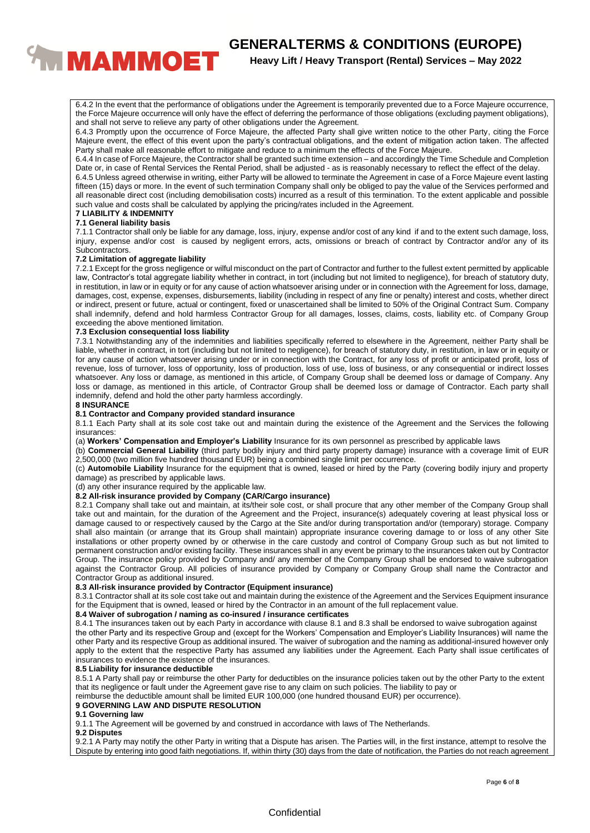

6.4.2 In the event that the performance of obligations under the Agreement is temporarily prevented due to a Force Majeure occurrence, the Force Majeure occurrence will only have the effect of deferring the performance of those obligations (excluding payment obligations), and shall not serve to relieve any party of other obligations under the Agreement.

6.4.3 Promptly upon the occurrence of Force Majeure, the affected Party shall give written notice to the other Party, citing the Force Majeure event, the effect of this event upon the party's contractual obligations, and the extent of mitigation action taken. The affected Party shall make all reasonable effort to mitigate and reduce to a minimum the effects of the Force Majeure.

6.4.4 In case of Force Majeure, the Contractor shall be granted such time extension – and accordingly the Time Schedule and Completion Date or, in case of Rental Services the Rental Period, shall be adjusted - as is reasonably necessary to reflect the effect of the delay.

6.4.5 Unless agreed otherwise in writing, either Party will be allowed to terminate the Agreement in case of a Force Majeure event lasting fifteen (15) days or more. In the event of such termination Company shall only be obliged to pay the value of the Services performed and all reasonable direct cost (including demobilisation costs) incurred as a result of this termination. To the extent applicable and possible such value and costs shall be calculated by applying the pricing/rates included in the Agreement.

#### **7 LIABILITY & INDEMNITY 7.1 General liability basis**

7.1.1 Contractor shall only be liable for any damage, loss, injury, expense and/or cost of any kind if and to the extent such damage, loss, injury, expense and/or cost is caused by negligent errors, acts, omissions or breach of contract by Contractor and/or any of its Subcontractors.

#### **7.2 Limitation of aggregate liability**

7.2.1 Except for the gross negligence or wilful misconduct on the part of Contractor and further to the fullest extent permitted by applicable law, Contractor's total aggregate liability whether in contract, in tort (including but not limited to negligence), for breach of statutory duty, in restitution, in law or in equity or for any cause of action whatsoever arising under or in connection with the Agreement for loss, damage, damages, cost, expense, expenses, disbursements, liability (including in respect of any fine or penalty) interest and costs, whether direct or indirect, present or future, actual or contingent, fixed or unascertained shall be limited to 50% of the Original Contract Sum. Company shall indemnify, defend and hold harmless Contractor Group for all damages, losses, claims, costs, liability etc. of Company Group exceeding the above mentioned limitation.

#### **7.3 Exclusion consequential loss liability**

7.3.1 Notwithstanding any of the indemnities and liabilities specifically referred to elsewhere in the Agreement, neither Party shall be liable, whether in contract, in tort (including but not limited to negligence), for breach of statutory duty, in restitution, in law or in equity or for any cause of action whatsoever arising under or in connection with the Contract, for any loss of profit or anticipated profit, loss of revenue, loss of turnover, loss of opportunity, loss of production, loss of use, loss of business, or any consequential or indirect losses whatsoever. Any loss or damage, as mentioned in this article, of Company Group shall be deemed loss or damage of Company. Any loss or damage, as mentioned in this article, of Contractor Group shall be deemed loss or damage of Contractor. Each party shall indemnify, defend and hold the other party harmless accordingly.

### **8 INSURANCE**

#### **8.1 Contractor and Company provided standard insurance**

8.1.1 Each Party shall at its sole cost take out and maintain during the existence of the Agreement and the Services the following insurances:

(a) **Workers' Compensation and Employer's Liability** Insurance for its own personnel as prescribed by applicable laws

(b) **Commercial General Liability** (third party bodily injury and third party property damage) insurance with a coverage limit of EUR 2,500,000 (two million five hundred thousand EUR) being a combined single limit per occurrence.

(c) **Automobile Liability** Insurance for the equipment that is owned, leased or hired by the Party (covering bodily injury and property damage) as prescribed by applicable laws.

(d) any other insurance required by the applicable law.

#### **8.2 All-risk insurance provided by Company (CAR/Cargo insurance)**

8.2.1 Company shall take out and maintain, at its/their sole cost, or shall procure that any other member of the Company Group shall take out and maintain, for the duration of the Agreement and the Project, insurance(s) adequately covering at least physical loss or damage caused to or respectively caused by the Cargo at the Site and/or during transportation and/or (temporary) storage. Company shall also maintain (or arrange that its Group shall maintain) appropriate insurance covering damage to or loss of any other Site installations or other property owned by or otherwise in the care custody and control of Company Group such as but not limited to permanent construction and/or existing facility. These insurances shall in any event be primary to the insurances taken out by Contractor Group. The insurance policy provided by Company and/ any member of the Company Group shall be endorsed to waive subrogation against the Contractor Group. All policies of insurance provided by Company or Company Group shall name the Contractor and Contractor Group as additional insured.

# **8.3 All-risk insurance provided by Contractor (Equipment insurance)**

8.3.1 Contractor shall at its sole cost take out and maintain during the existence of the Agreement and the Services Equipment insurance for the Equipment that is owned, leased or hired by the Contractor in an amount of the full replacement value.

#### **8.4 Waiver of subrogation / naming as co-insured / insurance certificates**

8.4.1 The insurances taken out by each Party in accordance with clause 8.1 and 8.3 shall be endorsed to waive subrogation against the other Party and its respective Group and (except for the Workers' Compensation and Employer's Liability Insurances) will name the other Party and its respective Group as additional insured. The waiver of subrogation and the naming as additional-insured however only apply to the extent that the respective Party has assumed any liabilities under the Agreement. Each Party shall issue certificates of insurances to evidence the existence of the insurances.

#### **8.5 Liability for insurance deductible**

8.5.1 A Party shall pay or reimburse the other Party for deductibles on the insurance policies taken out by the other Party to the extent that its negligence or fault under the Agreement gave rise to any claim on such policies. The liability to pay or

reimburse the deductible amount shall be limited EUR 100,000 (one hundred thousand EUR) per occurrence).

#### **9 GOVERNING LAW AND DISPUTE RESOLUTION**

#### **9.1 Governing law**

9.1.1 The Agreement will be governed by and construed in accordance with laws of The Netherlands.

#### **9.2 Disputes**

9.2.1 A Party may notify the other Party in writing that a Dispute has arisen. The Parties will, in the first instance, attempt to resolve the Dispute by entering into good faith negotiations. If, within thirty (30) days from the date of notification, the Parties do not reach agreement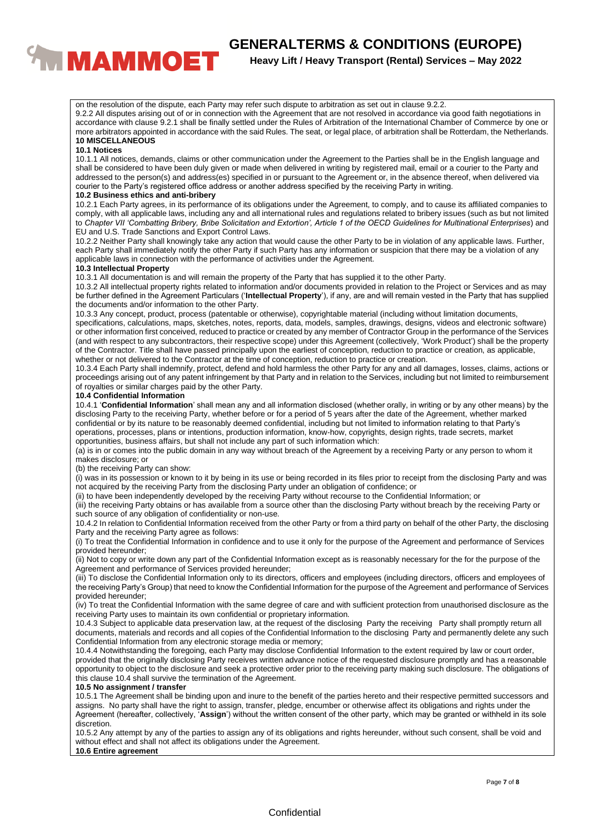

on the resolution of the dispute, each Party may refer such dispute to arbitration as set out in clause 9.2.2.

9.2.2 All disputes arising out of or in connection with the Agreement that are not resolved in accordance via good faith negotiations in accordance with clause 9.2.1 shall be finally settled under the Rules of Arbitration of the International Chamber of Commerce by one or more arbitrators appointed in accordance with the said Rules. The seat, or legal place, of arbitration shall be Rotterdam, the Netherlands. **10 MISCELLANEOUS**

#### **10.1 Notices**

10.1.1 All notices, demands, claims or other communication under the Agreement to the Parties shall be in the English language and shall be considered to have been duly given or made when delivered in writing by registered mail, email or a courier to the Party and addressed to the person(s) and address(es) specified in or pursuant to the Agreement or, in the absence thereof, when delivered via courier to the Party's registered office address or another address specified by the receiving Party in writing.

#### **10.2 Business ethics and anti-bribery**

10.2.1 Each Party agrees, in its performance of its obligations under the Agreement, to comply, and to cause its affiliated companies to comply, with all applicable laws, including any and all international rules and regulations related to bribery issues (such as but not limited to *Chapter VII 'Combatting Bribery, Bribe Solicitation and Extortion', Article 1 of the OECD Guidelines for Multinational Enterprises*) and EU and U.S. Trade Sanctions and Export Control Laws.

10.2.2 Neither Party shall knowingly take any action that would cause the other Party to be in violation of any applicable laws. Further, each Party shall immediately notify the other Party if such Party has any information or suspicion that there may be a violation of any applicable laws in connection with the performance of activities under the Agreement.

#### **10.3 Intellectual Property**

10.3.1 All documentation is and will remain the property of the Party that has supplied it to the other Party.

10.3.2 All intellectual property rights related to information and/or documents provided in relation to the Project or Services and as may be further defined in the Agreement Particulars ('**Intellectual Property**'), if any, are and will remain vested in the Party that has supplied the documents and/or information to the other Party.

10.3.3 Any concept, product, process (patentable or otherwise), copyrightable material (including without limitation documents, specifications, calculations, maps, sketches, notes, reports, data, models, samples, drawings, designs, videos and electronic software) or other information first conceived, reduced to practice or created by any member of Contractor Group in the performance of the Services (and with respect to any subcontractors, their respective scope) under this Agreement (collectively, 'Work Product') shall be the property of the Contractor. Title shall have passed principally upon the earliest of conception, reduction to practice or creation, as applicable, whether or not delivered to the Contractor at the time of conception, reduction to practice or creation.

10.3.4 Each Party shall indemnify, protect, defend and hold harmless the other Party for any and all damages, losses, claims, actions or proceedings arising out of any patent infringement by that Party and in relation to the Services, including but not limited to reimbursement of royalties or similar charges paid by the other Party.

#### **10.4 Confidential Information**

10.4.1 '**Confidential Information**' shall mean any and all information disclosed (whether orally, in writing or by any other means) by the disclosing Party to the receiving Party, whether before or for a period of 5 years after the date of the Agreement, whether marked confidential or by its nature to be reasonably deemed confidential, including but not limited to information relating to that Party's operations, processes, plans or intentions, production information, know-how, copyrights, design rights, trade secrets, market opportunities, business affairs, but shall not include any part of such information which:

(a) is in or comes into the public domain in any way without breach of the Agreement by a receiving Party or any person to whom it makes disclosure; or

(b) the receiving Party can show:

(i) was in its possession or known to it by being in its use or being recorded in its files prior to receipt from the disclosing Party and was not acquired by the receiving Party from the disclosing Party under an obligation of confidence; or

(ii) to have been independently developed by the receiving Party without recourse to the Confidential Information; or

(iii) the receiving Party obtains or has available from a source other than the disclosing Party without breach by the receiving Party or such source of any obligation of confidentiality or non-use.

10.4.2 In relation to Confidential Information received from the other Party or from a third party on behalf of the other Party, the disclosing Party and the receiving Party agree as follows:

(i) To treat the Confidential Information in confidence and to use it only for the purpose of the Agreement and performance of Services provided hereunder;

(ii) Not to copy or write down any part of the Confidential Information except as is reasonably necessary for the for the purpose of the Agreement and performance of Services provided hereunder;

(iii) To disclose the Confidential Information only to its directors, officers and employees (including directors, officers and employees of the receiving Party's Group) that need to know the Confidential Information for the purpose of the Agreement and performance of Services provided hereunder;

(iv) To treat the Confidential Information with the same degree of care and with sufficient protection from unauthorised disclosure as the receiving Party uses to maintain its own confidential or proprietary information.

10.4.3 Subject to applicable data preservation law, at the request of the disclosing Party the receiving Party shall promptly return all documents, materials and records and all copies of the Confidential Information to the disclosing Party and permanently delete any such Confidential Information from any electronic storage media or memory;

10.4.4 Notwithstanding the foregoing, each Party may disclose Confidential Information to the extent required by law or court order, provided that the originally disclosing Party receives written advance notice of the requested disclosure promptly and has a reasonable opportunity to object to the disclosure and seek a protective order prior to the receiving party making such disclosure. The obligations of this clause 10.4 shall survive the termination of the Agreement.

## **10.5 No assignment / transfer**

10.5.1 The Agreement shall be binding upon and inure to the benefit of the parties hereto and their respective permitted successors and assigns. No party shall have the right to assign, transfer, pledge, encumber or otherwise affect its obligations and rights under the Agreement (hereafter, collectively, '**Assign**') without the written consent of the other party, which may be granted or withheld in its sole discretion.

10.5.2 Any attempt by any of the parties to assign any of its obligations and rights hereunder, without such consent, shall be void and without effect and shall not affect its obligations under the Agreement.

#### **10.6 Entire agreement**